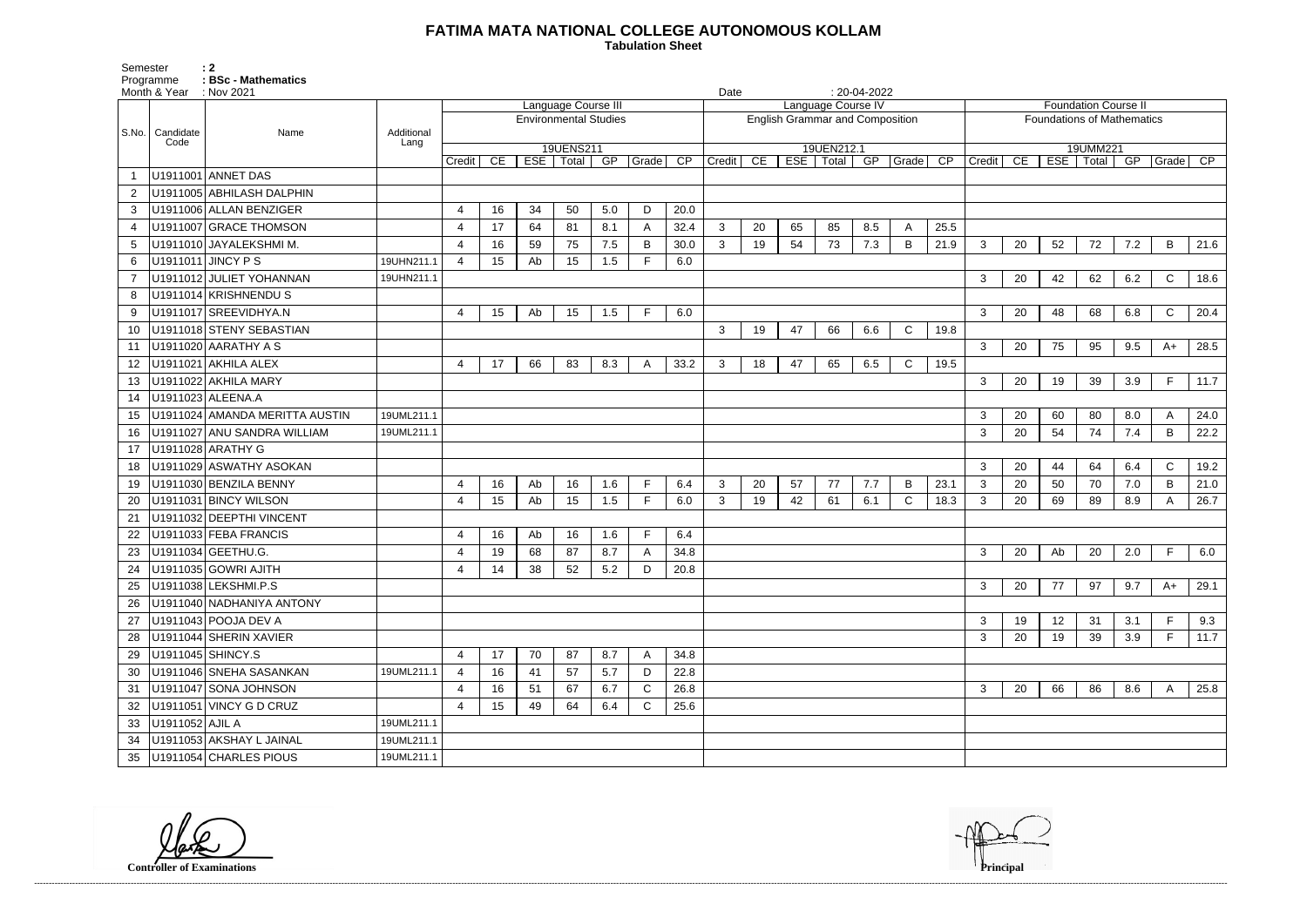## **FATIMA MATA NATIONAL COLLEGE AUTONOMOUS KOLLAM**

Semester : 2 Programme **: BSc - Mathematics**  **Tabulation Sheet** 

|                |                   | Month & Year : Nov 2021        |            |                     |    |     |           |                              |       |                 | Date   |    |                                        |                    | $: 20-04-2022$ |              |      |                             |    |    |                                   |     |              |      |  |
|----------------|-------------------|--------------------------------|------------|---------------------|----|-----|-----------|------------------------------|-------|-----------------|--------|----|----------------------------------------|--------------------|----------------|--------------|------|-----------------------------|----|----|-----------------------------------|-----|--------------|------|--|
|                |                   |                                |            | Language Course III |    |     |           |                              |       |                 |        |    |                                        | Language Course IV |                |              |      | <b>Foundation Course II</b> |    |    |                                   |     |              |      |  |
|                |                   |                                |            |                     |    |     |           | <b>Environmental Studies</b> |       |                 |        |    | <b>English Grammar and Composition</b> |                    |                |              |      |                             |    |    | <b>Foundations of Mathematics</b> |     |              |      |  |
|                | S.No.   Candidate | Name                           | Additional |                     |    |     |           |                              |       |                 |        |    |                                        |                    |                |              |      |                             |    |    |                                   |     |              |      |  |
|                | Code              |                                | Lang       |                     |    |     | 19UENS211 |                              |       |                 |        |    |                                        | 19UEN212.1         |                |              |      |                             |    |    | 19UMM221                          |     |              |      |  |
|                |                   |                                |            | Credit              | CE | ESE | Total     | GP                           | Grade | $\overline{CP}$ | Credit | CE |                                        | ESE   Total        |                | GP Grade CP  |      | Credit                      | CE |    | ESE   Total   GP                  |     | Grade CP     |      |  |
|                |                   | U1911001 ANNET DAS             |            |                     |    |     |           |                              |       |                 |        |    |                                        |                    |                |              |      |                             |    |    |                                   |     |              |      |  |
| $\overline{2}$ |                   | U1911005 ABHILASH DALPHIN      |            |                     |    |     |           |                              |       |                 |        |    |                                        |                    |                |              |      |                             |    |    |                                   |     |              |      |  |
| 3              |                   | U1911006 ALLAN BENZIGER        |            | 4                   | 16 | 34  | 50        | 5.0                          | D     | 20.0            |        |    |                                        |                    |                |              |      |                             |    |    |                                   |     |              |      |  |
| 4              |                   | U1911007 GRACE THOMSON         |            | $\overline{4}$      | 17 | 64  | 81        | 8.1                          | A     | 32.4            | 3      | 20 | 65                                     | 85                 | 8.5            | A            | 25.5 |                             |    |    |                                   |     |              |      |  |
| 5              |                   | U1911010 JAYALEKSHMI M.        |            | $\overline{4}$      | 16 | 59  | 75        | 7.5                          | B     | 30.0            | 3      | 19 | 54                                     | 73                 | 7.3            | $\mathsf B$  | 21.9 | 3                           | 20 | 52 | 72                                | 7.2 | B            | 21.6 |  |
| 6              |                   | U1911011 JINCY P S             | 19UHN211.1 | 4                   | 15 | Ab  | 15        | 1.5                          |       | 6.0             |        |    |                                        |                    |                |              |      |                             |    |    |                                   |     |              |      |  |
|                |                   | U1911012 JULIET YOHANNAN       | 19UHN211.1 |                     |    |     |           |                              |       |                 |        |    |                                        |                    |                |              |      | 3                           | 20 | 42 | 62                                | 6.2 | $\mathsf{C}$ | 18.6 |  |
| 8              |                   | U1911014 KRISHNENDU S          |            |                     |    |     |           |                              |       |                 |        |    |                                        |                    |                |              |      |                             |    |    |                                   |     |              |      |  |
| 9              |                   | U1911017 SREEVIDHYA.N          |            | 4                   | 15 | Ab  | 15        | 1.5                          | E     | 6.0             |        |    |                                        |                    |                |              |      | 3                           | 20 | 48 | 68                                | 6.8 | $\mathsf{C}$ | 20.4 |  |
| 10             |                   | U1911018 STENY SEBASTIAN       |            |                     |    |     |           |                              |       |                 | 3      | 19 | 47                                     | 66                 | 6.6            | $\mathsf{C}$ | 19.8 |                             |    |    |                                   |     |              |      |  |
| 11             |                   | U1911020 AARATHY A S           |            |                     |    |     |           |                              |       |                 |        |    |                                        |                    |                |              |      | 3                           | 20 | 75 | 95                                | 9.5 | $A+$         | 28.5 |  |
| 12             |                   | U1911021 AKHILA ALEX           |            | 4                   | 17 | 66  | 83        | 8.3                          | A     | 33.2            | 3      | 18 | 47                                     | 65                 | 6.5            | $\mathsf{C}$ | 19.5 |                             |    |    |                                   |     |              |      |  |
| 13             |                   | U1911022 AKHILA MARY           |            |                     |    |     |           |                              |       |                 |        |    |                                        |                    |                |              |      | 3                           | 20 | 19 | 39                                | 3.9 | F.           | 11.7 |  |
| 14             |                   | U1911023 ALEENA.A              |            |                     |    |     |           |                              |       |                 |        |    |                                        |                    |                |              |      |                             |    |    |                                   |     |              |      |  |
| 15             |                   | U1911024 AMANDA MERITTA AUSTIN | 19UML211.1 |                     |    |     |           |                              |       |                 |        |    |                                        |                    |                |              |      | 3                           | 20 | 60 | 80                                | 8.0 | A            | 24.0 |  |
| 16             |                   | U1911027 ANU SANDRA WILLIAM    | 19UML211.1 |                     |    |     |           |                              |       |                 |        |    |                                        |                    |                |              |      | 3                           | 20 | 54 | 74                                | 7.4 | B            | 22.2 |  |
| 17             |                   | U1911028 ARATHY G              |            |                     |    |     |           |                              |       |                 |        |    |                                        |                    |                |              |      |                             |    |    |                                   |     |              |      |  |
| 18             |                   | U1911029 ASWATHY ASOKAN        |            |                     |    |     |           |                              |       |                 |        |    |                                        |                    |                |              |      | 3                           | 20 | 44 | 64                                | 6.4 | $\mathsf{C}$ | 19.2 |  |
| 19             |                   | U1911030 BENZILA BENNY         |            | 4                   | 16 | Ab  | 16        | 1.6                          | F     | 6.4             | 3      | 20 | 57                                     | 77                 | 7.7            | B            | 23.1 | 3                           | 20 | 50 | 70                                | 7.0 | B            | 21.0 |  |
| 20             |                   | U1911031 BINCY WILSON          |            | 4                   | 15 | Ab  | 15        | 1.5                          | E     | 6.0             | 3      | 19 | 42                                     | 61                 | 6.1            | $\mathsf{C}$ | 18.3 | 3                           | 20 | 69 | 89                                | 8.9 |              | 26.7 |  |
| 21             |                   | U1911032 DEEPTHI VINCENT       |            |                     |    |     |           |                              |       |                 |        |    |                                        |                    |                |              |      |                             |    |    |                                   |     |              |      |  |
| 22             |                   | U1911033 FEBA FRANCIS          |            | 4                   | 16 | Ab  | 16        | 1.6                          |       | 6.4             |        |    |                                        |                    |                |              |      |                             |    |    |                                   |     |              |      |  |
| 23             |                   | U1911034 GEETHU.G.             |            | 4                   | 19 | 68  | 87        | 8.7                          | A     | 34.8            |        |    |                                        |                    |                |              |      | 3                           | 20 | Ab | 20                                | 2.0 | F.           | 6.0  |  |
| 24             |                   | U1911035 GOWRI AJITH           |            | 4                   | 14 | 38  | 52        | 5.2                          | D     | 20.8            |        |    |                                        |                    |                |              |      |                             |    |    |                                   |     |              |      |  |
| 25             |                   | U1911038 LEKSHMI.P.S           |            |                     |    |     |           |                              |       |                 |        |    |                                        |                    |                |              |      | 3                           | 20 | 77 | 97                                | 9.7 | A+           | 29.1 |  |
| 26             |                   | U1911040 NADHANIYA ANTONY      |            |                     |    |     |           |                              |       |                 |        |    |                                        |                    |                |              |      |                             |    |    |                                   |     |              |      |  |
| 27             |                   | U1911043 POOJA DEV A           |            |                     |    |     |           |                              |       |                 |        |    |                                        |                    |                |              |      | 3                           | 19 | 12 | 31                                | 3.1 |              | 9.3  |  |
| 28             |                   | U1911044 SHERIN XAVIER         |            |                     |    |     |           |                              |       |                 |        |    |                                        |                    |                |              |      | 3                           | 20 | 19 | 39                                | 3.9 | F.           | 11.7 |  |
| 29             | U1911045 SHINCY.S |                                |            | 4                   | 17 | 70  | 87        | 8.7                          | A     | 34.8            |        |    |                                        |                    |                |              |      |                             |    |    |                                   |     |              |      |  |
| 30             |                   | U1911046 SNEHA SASANKAN        | 19UML211.1 | $\overline{4}$      | 16 | 41  | 57        | 5.7                          | D     | 22.8            |        |    |                                        |                    |                |              |      |                             |    |    |                                   |     |              |      |  |
| 31             |                   | U1911047 SONA JOHNSON          |            | 4                   | 16 | 51  | 67        | 6.7                          | C     | 26.8            |        |    |                                        |                    |                |              |      | 3                           | 20 | 66 | 86                                | 8.6 | A            | 25.8 |  |
| 32             |                   | U1911051 VINCY G D CRUZ        |            | $\overline{a}$      | 15 | 49  | 64        | 6.4                          | C     | 25.6            |        |    |                                        |                    |                |              |      |                             |    |    |                                   |     |              |      |  |
| 33             | U1911052 AJIL A   |                                | 19UML211.1 |                     |    |     |           |                              |       |                 |        |    |                                        |                    |                |              |      |                             |    |    |                                   |     |              |      |  |
| 34             |                   | U1911053 AKSHAY L JAINAL       | 19UML211.1 |                     |    |     |           |                              |       |                 |        |    |                                        |                    |                |              |      |                             |    |    |                                   |     |              |      |  |
| 35             |                   | U1911054 CHARLES PIOUS         | 19UML211.1 |                     |    |     |           |                              |       |                 |        |    |                                        |                    |                |              |      |                             |    |    |                                   |     |              |      |  |

**Controller of Examinations**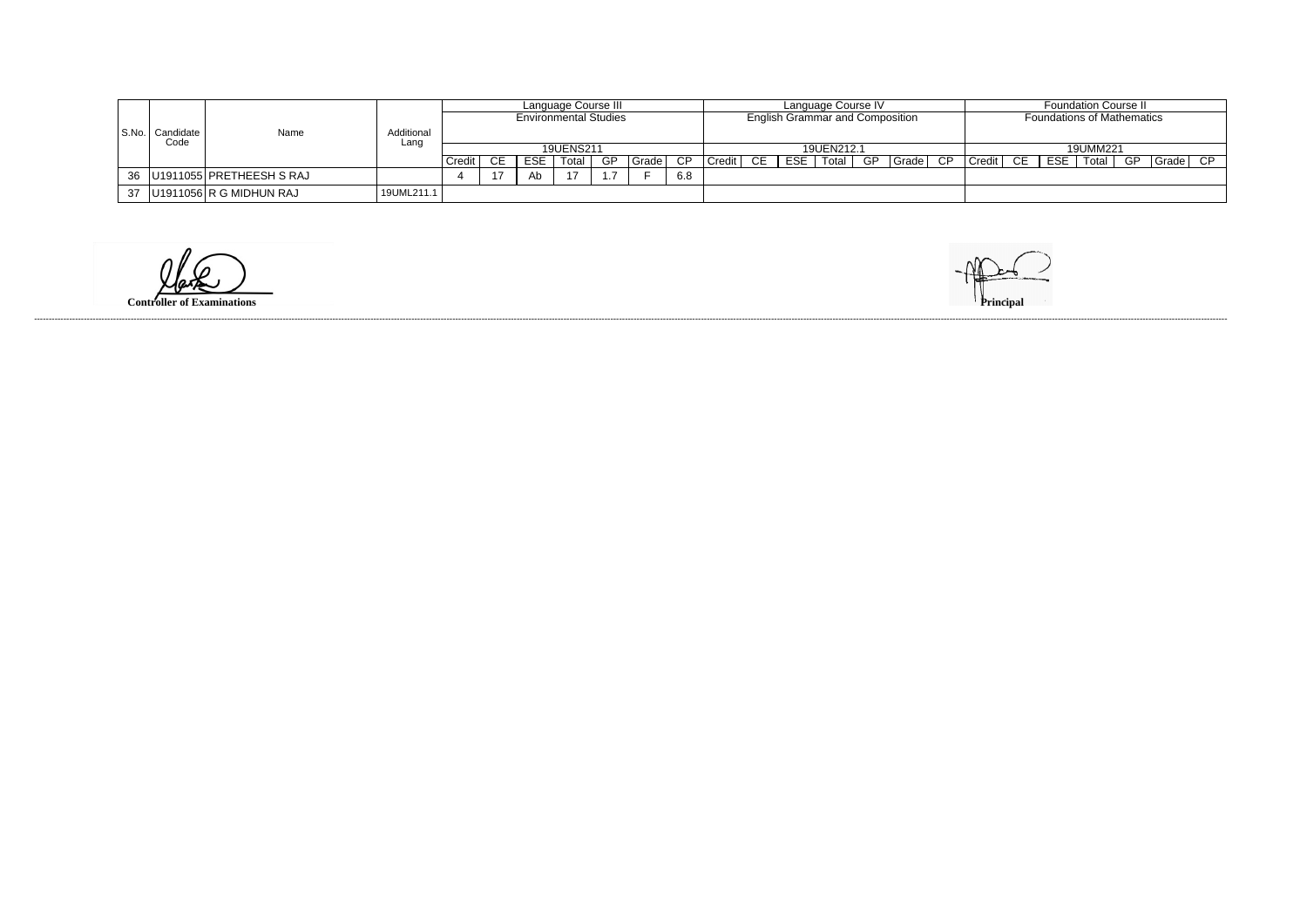|                   | Name                            | Additional<br>Lanc | Language Course III |           |                              |       |     |       |            |        | Language Course IV |     |                                        |  |  |          |                       | <b>Foundation Course II</b> |                                   |       |    |              |  |
|-------------------|---------------------------------|--------------------|---------------------|-----------|------------------------------|-------|-----|-------|------------|--------|--------------------|-----|----------------------------------------|--|--|----------|-----------------------|-----------------------------|-----------------------------------|-------|----|--------------|--|
| S.No.   Candidate |                                 |                    |                     |           | <b>Environmental Studies</b> |       |     |       |            |        |                    |     | <b>English Grammar and Composition</b> |  |  |          |                       |                             | <b>Foundations of Mathematics</b> |       |    |              |  |
| Code              |                                 |                    |                     | 19UENS211 |                              |       |     |       | 19UEN212.1 |        |                    |     |                                        |  |  | 19UMM221 |                       |                             |                                   |       |    |              |  |
|                   |                                 |                    | Credit              |           | <b>ESE</b>                   | Total | GP. | Grade | CP.        | Credit | CE                 | ESE | Total                                  |  |  |          | GP Grade CP Credit CE |                             | ESE                               | Total | GP | $Grade$ $CP$ |  |
|                   | 36   U1911055   PRETHEESH S RAJ |                    |                     |           | Ab                           |       |     |       | 6.8        |        |                    |     |                                        |  |  |          |                       |                             |                                   |       |    |              |  |
|                   | 37   U1911056   R G MIDHUN RAJ  | 19UML211.1         |                     |           |                              |       |     |       |            |        |                    |     |                                        |  |  |          |                       |                             |                                   |       |    |              |  |

 $\omega$ 

**Controller of Examinations** 

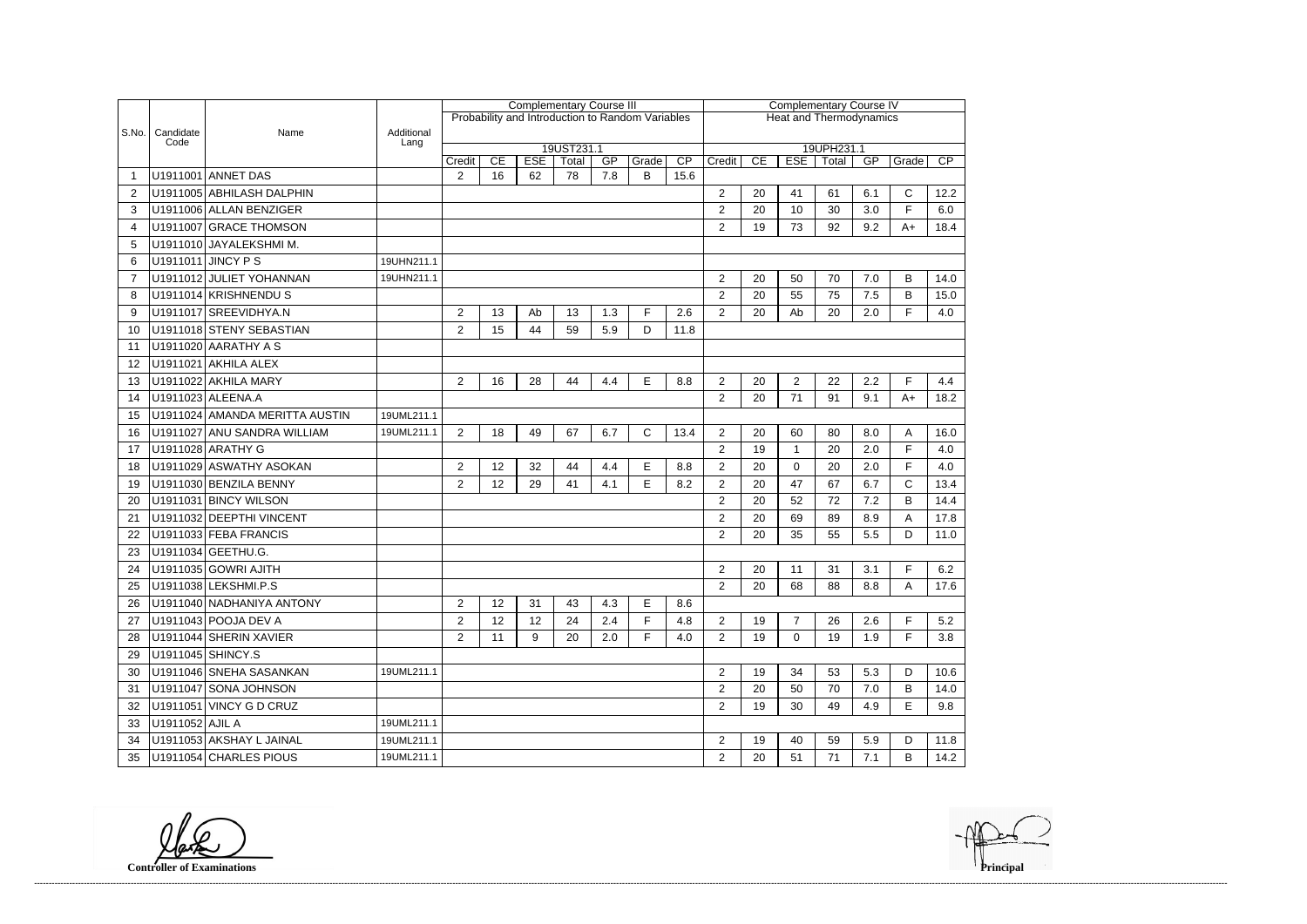|                       |                   |                                |                    | <b>Complementary Course III</b> |    |            |                     |     |                                                  |                                | <b>Complementary Course IV</b> |    |                                                        |    |     |              |      |  |  |
|-----------------------|-------------------|--------------------------------|--------------------|---------------------------------|----|------------|---------------------|-----|--------------------------------------------------|--------------------------------|--------------------------------|----|--------------------------------------------------------|----|-----|--------------|------|--|--|
|                       |                   |                                |                    |                                 |    |            |                     |     | Probability and Introduction to Random Variables | <b>Heat and Thermodynamics</b> |                                |    |                                                        |    |     |              |      |  |  |
| S.No.                 | Candidate<br>Code | Name                           | Additional<br>Lang |                                 |    |            |                     |     |                                                  |                                |                                |    |                                                        |    |     |              |      |  |  |
|                       |                   |                                |                    | Credit                          | CE | <b>ESE</b> | 19UST231.1<br>Total | GP  | Grade                                            | CP                             | Credit                         | CE | 19UPH231.1<br><b>ESE</b><br>CP<br>GP<br>Total<br>Grade |    |     |              |      |  |  |
|                       |                   | U1911001 ANNET DAS             |                    | $\overline{2}$                  | 16 | 62         | 78                  | 7.8 | B                                                | 15.6                           |                                |    |                                                        |    |     |              |      |  |  |
| 2                     |                   | U1911005 ABHILASH DALPHIN      |                    |                                 |    |            |                     |     |                                                  |                                | $\overline{2}$                 | 20 | 41                                                     | 61 | 6.1 | C            | 12.2 |  |  |
| 3                     |                   | U1911006 ALLAN BENZIGER        |                    |                                 |    |            |                     |     |                                                  |                                | $\overline{2}$                 | 20 | 10                                                     | 30 | 3.0 | F            | 6.0  |  |  |
| $\boldsymbol{\Delta}$ |                   | U1911007 GRACE THOMSON         |                    |                                 |    |            |                     |     |                                                  |                                | $\overline{2}$                 | 19 | 73                                                     | 92 | 9.2 | $A+$         | 18.4 |  |  |
| 5                     |                   | U1911010 JAYALEKSHMI M.        |                    |                                 |    |            |                     |     |                                                  |                                |                                |    |                                                        |    |     |              |      |  |  |
| 6                     |                   | U1911011 JINCY P S             | 19UHN211.1         |                                 |    |            |                     |     |                                                  |                                |                                |    |                                                        |    |     |              |      |  |  |
| 7                     |                   | U1911012 JULIET YOHANNAN       | 19UHN211.1         |                                 |    |            |                     |     |                                                  |                                | $\overline{2}$                 | 20 | 50                                                     | 70 | 7.0 | B            | 14.0 |  |  |
| 8                     |                   | U1911014 KRISHNENDU S          |                    |                                 |    |            |                     |     |                                                  |                                | $\overline{2}$                 | 20 | 55                                                     | 75 | 7.5 | B            | 15.0 |  |  |
| 9                     |                   | U1911017 SREEVIDHYA.N          |                    | $\overline{2}$                  | 13 | Ab         | 13                  | 1.3 | F                                                | 2.6                            | $\overline{2}$                 | 20 | Ab                                                     | 20 | 2.0 | F.           | 4.0  |  |  |
| 10                    |                   | U1911018 STENY SEBASTIAN       |                    | $\overline{2}$                  | 15 | 44         | 59                  | 5.9 | D                                                | 11.8                           |                                |    |                                                        |    |     |              |      |  |  |
| 11                    |                   | U1911020 AARATHY A S           |                    |                                 |    |            |                     |     |                                                  |                                |                                |    |                                                        |    |     |              |      |  |  |
| 12                    |                   | U1911021 AKHILA ALEX           |                    |                                 |    |            |                     |     |                                                  |                                |                                |    |                                                        |    |     |              |      |  |  |
| 13                    |                   | U1911022 AKHILA MARY           |                    | $\overline{2}$                  | 16 | 28         | 44                  | 4.4 | E                                                | 8.8                            | $\overline{2}$                 | 20 | $\overline{2}$                                         | 22 | 2.2 | F            | 4.4  |  |  |
| 14                    |                   | U1911023 ALEENA.A              |                    |                                 |    |            |                     |     |                                                  |                                | $\overline{2}$                 | 20 | 71                                                     | 91 | 9.1 | $A+$         | 18.2 |  |  |
| 15                    |                   | U1911024 AMANDA MERITTA AUSTIN | 19UML211.1         |                                 |    |            |                     |     |                                                  |                                |                                |    |                                                        |    |     |              |      |  |  |
| 16                    |                   | U1911027 ANU SANDRA WILLIAM    | 19UML211.1         | $\overline{2}$                  | 18 | 49         | 67                  | 6.7 | $\mathsf{C}$                                     | 13.4                           | $\overline{2}$                 | 20 | 60                                                     | 80 | 8.0 | A            | 16.0 |  |  |
| 17                    |                   | U1911028 ARATHY G              |                    |                                 |    |            |                     |     |                                                  |                                | $\overline{2}$                 | 19 | $\mathbf{1}$                                           | 20 | 2.0 | F            | 4.0  |  |  |
| 18                    |                   | U1911029 ASWATHY ASOKAN        |                    | $\overline{c}$                  | 12 | 32         | 44                  | 4.4 | E                                                | 8.8                            | $\overline{2}$                 | 20 | $\Omega$                                               | 20 | 2.0 | F            | 4.0  |  |  |
| 19                    |                   | U1911030 BENZILA BENNY         |                    | $\overline{2}$                  | 12 | 29         | 41                  | 4.1 | E                                                | 8.2                            | $\overline{2}$                 | 20 | 47                                                     | 67 | 6.7 | $\mathsf{C}$ | 13.4 |  |  |
| 20                    |                   | U1911031 BINCY WILSON          |                    |                                 |    |            |                     |     |                                                  |                                | $\overline{2}$                 | 20 | 52                                                     | 72 | 7.2 | B            | 14.4 |  |  |
| 21                    |                   | U1911032 DEEPTHI VINCENT       |                    |                                 |    |            |                     |     |                                                  |                                | $\overline{2}$                 | 20 | 69                                                     | 89 | 8.9 | Α            | 17.8 |  |  |
| 22                    |                   | U1911033 FEBA FRANCIS          |                    |                                 |    |            |                     |     |                                                  |                                | $\overline{2}$                 | 20 | 35                                                     | 55 | 5.5 | D            | 11.0 |  |  |
| 23                    |                   | U1911034 GEETHU.G.             |                    |                                 |    |            |                     |     |                                                  |                                |                                |    |                                                        |    |     |              |      |  |  |
| 24                    |                   | U1911035 GOWRI AJITH           |                    |                                 |    |            |                     |     |                                                  |                                | $\overline{2}$                 | 20 | 11                                                     | 31 | 3.1 | E            | 6.2  |  |  |
| 25                    |                   | U1911038 LEKSHMI.P.S           |                    |                                 |    |            |                     |     |                                                  |                                | $\overline{2}$                 | 20 | 68                                                     | 88 | 8.8 | А            | 17.6 |  |  |
| 26                    |                   | U1911040 NADHANIYA ANTONY      |                    | $\overline{2}$                  | 12 | 31         | 43                  | 4.3 | E                                                | 8.6                            |                                |    |                                                        |    |     |              |      |  |  |
| 27                    |                   | U1911043 POOJA DEV A           |                    | $\overline{2}$                  | 12 | 12         | 24                  | 2.4 | F.                                               | 4.8                            | $\overline{2}$                 | 19 | $\overline{7}$                                         | 26 | 2.6 | F            | 5.2  |  |  |
| 28                    |                   | U1911044 SHERIN XAVIER         |                    | $\overline{2}$                  | 11 | 9          | 20                  | 2.0 | F.                                               | 4.0                            | $\overline{2}$                 | 19 | 0                                                      | 19 | 1.9 | F            | 3.8  |  |  |
| 29                    |                   | U1911045 SHINCY.S              |                    |                                 |    |            |                     |     |                                                  |                                |                                |    |                                                        |    |     |              |      |  |  |
| 30                    |                   | U1911046 SNEHA SASANKAN        | 19UML211.1         |                                 |    |            |                     |     |                                                  |                                | $\overline{2}$                 | 19 | 34                                                     | 53 | 5.3 | D            | 10.6 |  |  |
| 31                    |                   | U1911047 SONA JOHNSON          |                    |                                 |    |            |                     |     |                                                  |                                | $\overline{c}$                 | 20 | 50                                                     | 70 | 7.0 | B            | 14.0 |  |  |
| 32                    |                   | U1911051 VINCY G D CRUZ        |                    |                                 |    |            |                     |     |                                                  |                                | $\overline{2}$                 | 19 | 30                                                     | 49 | 4.9 | E            | 9.8  |  |  |
| 33                    | U1911052 AJIL A   |                                | 19UML211.1         |                                 |    |            |                     |     |                                                  |                                |                                |    |                                                        |    |     |              |      |  |  |
| 34                    |                   | U1911053 AKSHAY L JAINAL       | 19UML211.1         |                                 |    |            |                     |     |                                                  |                                | $\overline{2}$                 | 19 | 40                                                     | 59 | 5.9 | D            | 11.8 |  |  |
| 35                    |                   | U1911054 CHARLES PIOUS         | 19UML211.1         |                                 |    |            |                     |     |                                                  |                                | $\overline{c}$                 | 20 | 51                                                     | 71 | 7.1 | В            | 14.2 |  |  |

**Controller of Examinations Principal**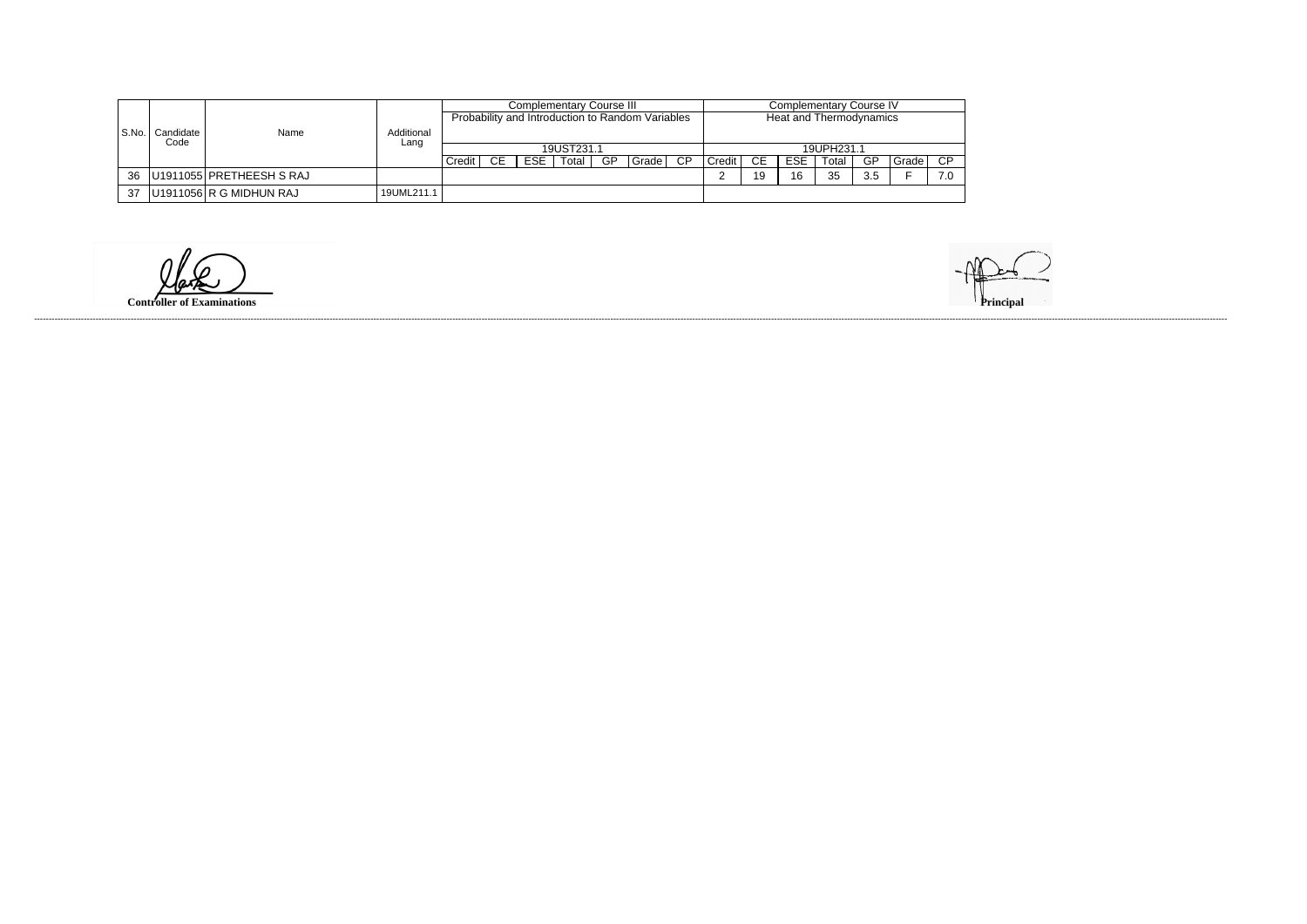|           |           |                          |            |          |     |            | Complementary Course III |     |                                                  | Complementary Course IV |          |    |            |       |      |       |     |
|-----------|-----------|--------------------------|------------|----------|-----|------------|--------------------------|-----|--------------------------------------------------|-------------------------|----------|----|------------|-------|------|-------|-----|
|           |           |                          |            |          |     |            |                          |     | Probability and Introduction to Random Variables | Heat and Thermodynamics |          |    |            |       |      |       |     |
| l S.No. l | Candidate | Name                     | Additional |          |     |            |                          |     |                                                  |                         |          |    |            |       |      |       |     |
|           | Code      |                          | Lang       |          |     |            | 19UST231.1               |     |                                                  | 19UPH231.1              |          |    |            |       |      |       |     |
|           |           |                          |            | Credit I | -CE | <b>ESE</b> | Total                    | -GP | I Grade I                                        | CP                      | Credit I | CE | <b>ESE</b> | Total | - GP | Grade | CP  |
| 36        |           | U1911055 PRETHEESH S RAJ |            |          |     |            |                          |     |                                                  |                         |          | 19 | 16         | 35    | 3.5  |       | 7.0 |
| 37        |           | U1911056 R G MIDHUN RAJ  | 19UML211.1 |          |     |            |                          |     |                                                  |                         |          |    |            |       |      |       |     |

**Controller of Examinations**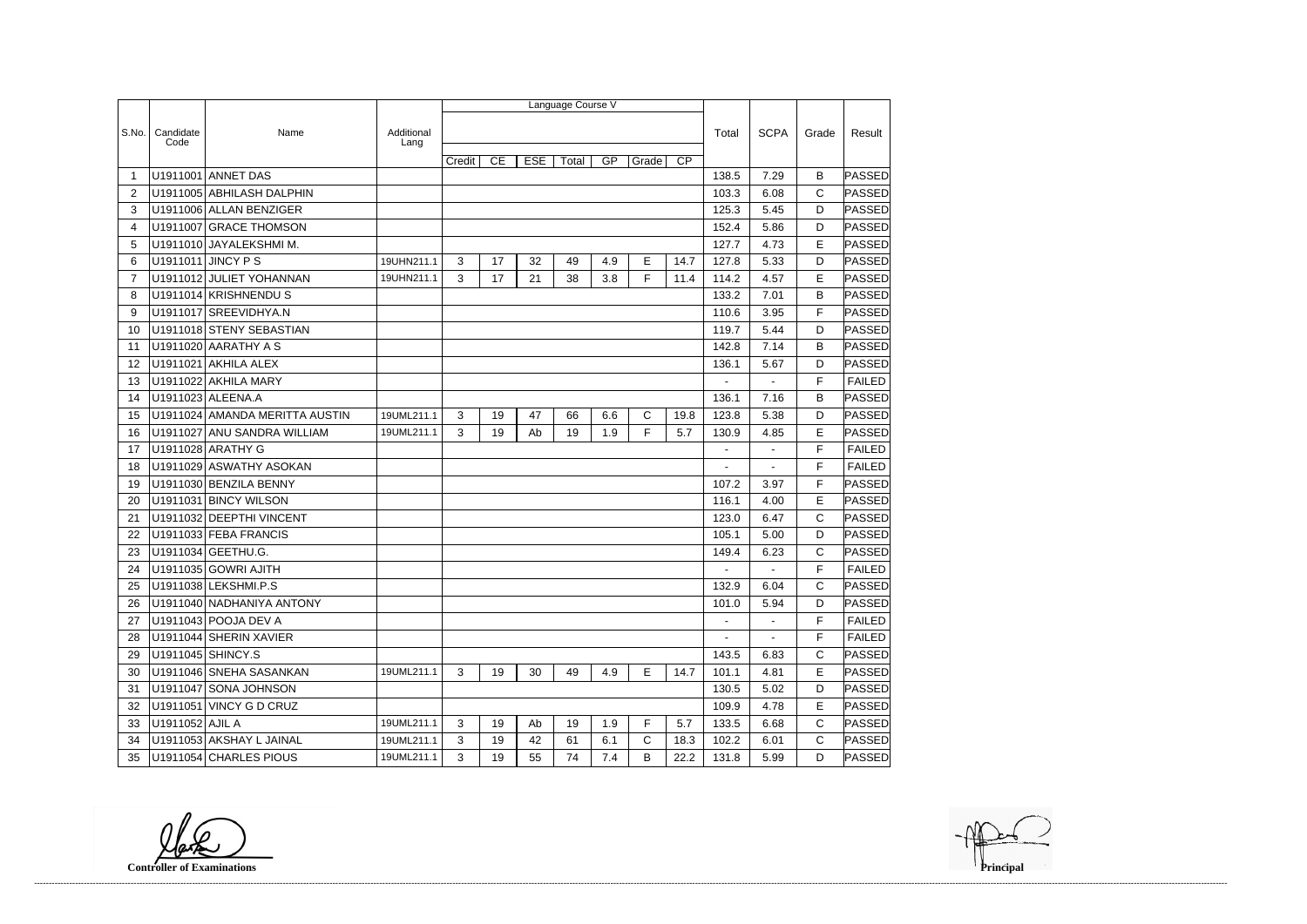|                |                 |                                |            |        |    |            | Language Course V |     |       |                 |                |                |              |               |
|----------------|-----------------|--------------------------------|------------|--------|----|------------|-------------------|-----|-------|-----------------|----------------|----------------|--------------|---------------|
| S.No.          | Candidate       | Name                           | Additional |        |    |            |                   |     |       |                 | Total          | <b>SCPA</b>    |              | Result        |
|                | Code            |                                | Lang       |        |    |            |                   |     |       |                 |                |                | Grade        |               |
|                |                 |                                |            | Credit | CE | <b>ESE</b> | Total             | GP  | Grade | $\overline{CP}$ |                |                |              |               |
| -1             |                 | U1911001 ANNET DAS             |            |        |    |            |                   |     |       |                 | 138.5          | 7.29           | B            | PASSED        |
| $\overline{2}$ |                 | U1911005 ABHILASH DALPHIN      |            |        |    |            |                   |     |       |                 | 103.3          | 6.08           | $\mathsf{C}$ | PASSED        |
| 3              |                 | U1911006 ALLAN BENZIGER        |            |        |    |            |                   |     |       |                 | 125.3          | 5.45           | D            | PASSED        |
| 4              |                 | U1911007 GRACE THOMSON         |            |        |    |            |                   |     |       |                 | 152.4          | 5.86           | D            | PASSED        |
| 5              |                 | U1911010 JAYALEKSHMI M.        |            |        |    |            |                   |     |       |                 | 127.7          | 4.73           | E            | PASSED        |
| 6              |                 | U1911011 JINCY P S             | 19UHN211.1 | 3      | 17 | 32         | 49                | 4.9 | E     | 14.7            | 127.8          | 5.33           | D            | PASSED        |
| $\overline{7}$ |                 | U1911012 JULIET YOHANNAN       | 19UHN211.1 | 3      | 17 | 21         | 38                | 3.8 | F     | 11.4            | 114.2          | 4.57           | E            | PASSED        |
| 8              |                 | U1911014 KRISHNENDUS           |            |        |    |            |                   |     |       |                 | 133.2          | 7.01           | B            | PASSED        |
| 9              |                 | U1911017 SREEVIDHYA.N          |            |        |    |            |                   |     |       |                 | 110.6          | 3.95           | F            | PASSED        |
| 10             |                 | U1911018 STENY SEBASTIAN       |            |        |    |            |                   |     |       |                 | 119.7          | 5.44           | D            | PASSED        |
| 11             |                 | U1911020 AARATHY A S           |            |        |    |            |                   |     |       |                 | 142.8          | 7.14           | B            | PASSED        |
| 12             | U1911021        | <b>AKHILA ALEX</b>             |            |        |    |            |                   |     |       |                 | 136.1          | 5.67           | D            | PASSED        |
| 13             |                 | U1911022 AKHILA MARY           |            |        |    |            |                   |     |       |                 |                |                | F            | <b>FAILED</b> |
| 14             |                 | U1911023 ALEENA.A              |            |        |    |            |                   |     |       |                 | 136.1          | 7.16           | B            | PASSED        |
| 15             |                 | U1911024 AMANDA MERITTA AUSTIN | 19UML211.1 | 3      | 19 | 47         | 66                | 6.6 | C     | 19.8            | 123.8          | 5.38           | D            | <b>PASSED</b> |
| 16             |                 | U1911027 ANU SANDRA WILLIAM    | 19UML211.1 | 3      | 19 | Ab         | 19                | 1.9 | F     | 5.7             | 130.9          | 4.85           | E            | PASSED        |
| 17             |                 | U1911028 ARATHY G              |            |        |    |            |                   |     |       |                 | $\blacksquare$ | $\blacksquare$ | F            | <b>FAILED</b> |
| 18             |                 | U1911029 ASWATHY ASOKAN        |            |        |    |            |                   |     |       |                 |                |                | F            | <b>FAILED</b> |
| 19             |                 | U1911030 BENZILA BENNY         |            |        |    |            |                   |     |       |                 | 107.2          | 3.97           | F            | PASSED        |
| 20             |                 | U1911031 BINCY WILSON          |            |        |    |            |                   |     |       |                 | 116.1          | 4.00           | E            | <b>PASSED</b> |
| 21             |                 | U1911032 DEEPTHI VINCENT       |            |        |    |            |                   |     |       |                 | 123.0          | 6.47           | $\mathsf{C}$ | PASSED        |
| 22             |                 | U1911033 FEBA FRANCIS          |            |        |    |            |                   |     |       |                 | 105.1          | 5.00           | D            | PASSED        |
| 23             |                 | U1911034 GEETHU.G.             |            |        |    |            |                   |     |       |                 | 149.4          | 6.23           | $\mathsf{C}$ | PASSED        |
| 24             |                 | U1911035 GOWRI AJITH           |            |        |    |            |                   |     |       |                 |                |                | F            | <b>FAILED</b> |
| 25             |                 | U1911038 LEKSHMI.P.S           |            |        |    |            |                   |     |       |                 | 132.9          | 6.04           | С            | PASSED        |
| 26             |                 | U1911040 NADHANIYA ANTONY      |            |        |    |            |                   |     |       |                 | 101.0          | 5.94           | D            | <b>PASSED</b> |
| 27             |                 | U1911043 POOJA DEV A           |            |        |    |            |                   |     |       |                 | $\blacksquare$ | $\blacksquare$ | F            | <b>FAILED</b> |
| 28             |                 | U1911044 SHERIN XAVIER         |            |        |    |            |                   |     |       |                 |                |                | F            | <b>FAILED</b> |
| 29             |                 | U1911045 SHINCY.S              |            |        |    |            |                   |     |       |                 | 143.5          | 6.83           | C            | PASSED        |
| 30             |                 | U1911046 SNEHA SASANKAN        | 19UML211.1 | 3      | 19 | 30         | 49                | 4.9 | Е     | 14.7            | 101.1          | 4.81           | Е            | PASSED        |
| 31             |                 | U1911047 SONA JOHNSON          |            |        |    |            |                   |     |       |                 | 130.5          | 5.02           | D            | PASSED        |
| 32             |                 | U1911051 VINCY G D CRUZ        |            |        |    |            |                   |     |       |                 | 109.9          | 4.78           | Е            | PASSED        |
| 33             | U1911052 AJIL A |                                | 19UML211.1 | 3      | 19 | Ab         | 19                | 1.9 | F     | 5.7             | 133.5          | 6.68           | C            | PASSED        |
| 34             |                 | U1911053 AKSHAY L JAINAL       | 19UML211.1 | 3      | 19 | 42         | 61                | 6.1 | C     | 18.3            | 102.2          | 6.01           | $\mathsf{C}$ | PASSED        |
| 35             |                 | U1911054 CHARLES PIOUS         | 19UML211.1 | 3      | 19 | 55         | 74                | 7.4 | B     | 22.2            | 131.8          | 5.99           | D            | <b>PASSED</b> |

**Controller of Examinations**